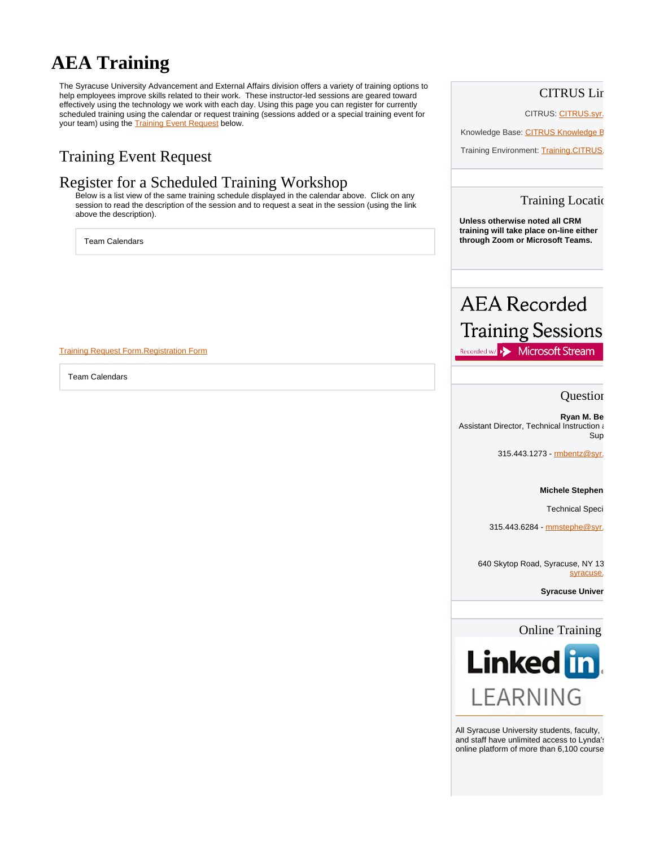# **AEA Training**

The Syracuse University Advancement and External Affairs division offers a variety of training options to help employees improve skills related to their work. These instructor-led sessions are geared toward effectively using the technology we work with each day. Using this page you can register for currently scheduled training using the calendar or request training (sessions added or a special training event for your team) using the [Training Event Request](https://its-forms.syr.edu:443/frevvo/web/tn/SUFS/u/2a9d0539-4ba5-40aa-b5c2-39fe7db221ba/app/_MRiacPmGEeic_8T0ysp2EQ/formtype/_H4qloPmaEeic_8T0ysp2EQ/popupform) below.

## Training Event Request

## Register for a Scheduled Training Workshop

Below is a list view of the same training schedule displayed in the calendar above. Click on any session to read the description of the session and to request a seat in the session (using the link above the description).

Team Calendars

#### [Training Request Form.](https://its-forms.syr.edu:443/frevvo/web/tn/SUFS/u/2a9d0539-4ba5-40aa-b5c2-39fe7db221ba/app/_MRiacPmGEeic_8T0ysp2EQ/formtype/_H4qloPmaEeic_8T0ysp2EQ/popupform)[Registration Form](https://its-forms.syr.edu/frevvo/web/tn/SUFS/u/2a9d0539-4ba5-40aa-b5c2-39fe7db221ba/app/_MRiacPmGEeic_8T0ysp2EQ/formtype/_RAeOwPmGEeic_8T0ysp2EQ/popupform)

Team Calendars

### **CITRUS Lir**

CITRUS: CITRUS.syr.

Knowledge Base: CITRUS Knowledge B

Training Environment: Training.CITRUS

#### **Training Location**

**Unless otherwise noted all CRM training will take place on-line either through Zoom or Microsoft Teams.**

# **AEA** Recorded **Training Sessions** Recorded w/ >> Microsoft Stream

Question

**Ryan M. Be** Assistant Director, Technical Instruction and Sup

315.443.1273 - **rmbentz@syr.** 

#### **Michele Stephen**

**Technical Speci** 

315.443.6284 - mmstephe@syr.

640 Skytop Road, Syracuse, NY 13 syracuse.

**Syracuse Univer** 

### **Online Training**



All Syracuse University students, faculty, and staff have unlimited access to Lynda's online platform of more than 6,100 course.